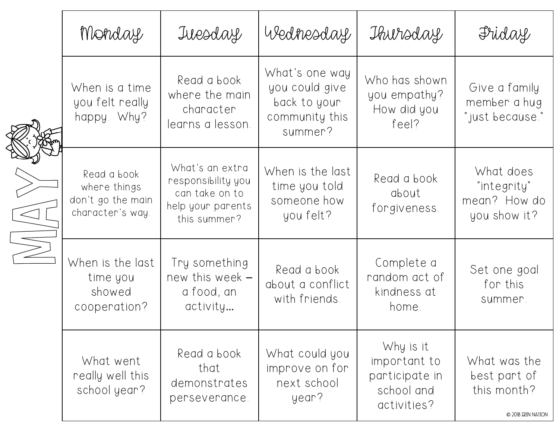|  | Monday                                                               | Tuesday                                                                                      | Wednesday                                                                     | Thursday                                                                 | Friday                                                            |
|--|----------------------------------------------------------------------|----------------------------------------------------------------------------------------------|-------------------------------------------------------------------------------|--------------------------------------------------------------------------|-------------------------------------------------------------------|
|  | When is a time<br>you felt really<br>happy. Why?                     | Read a book<br>where the main<br>character<br>learns a lesson.                               | What's one way<br>you could give<br>back to your<br>community this<br>summer? | Who has shown<br>you empathy?<br>How did you<br>feel?                    | Give a family<br>member a hug<br>"just because."                  |
|  | Read a book<br>where things<br>don't go the main<br>character's way. | What's an extra<br>responsibility you<br>can take on to<br>help your parents<br>this summer? | When is the last<br>time you told<br>someone how<br>you felt?                 | Read a book<br>about<br>forgiveness.                                     | What does<br>"integrity"<br>mean? How do<br>you show it?          |
|  | When is the last<br>time you<br>showed<br>cooperation?               | Try something<br>new this week -<br>a food, an<br>activity                                   | Read a book<br>about a conflict<br>with friends.                              | Complete a<br>random act of<br>kindness at<br>home.                      | Set one goal<br>for this<br>summer.                               |
|  | What went<br>really well this<br>school year?                        | Read a book<br>that<br>demonstrates<br>perseverance.                                         | What could you<br>improve on for<br>next school<br>year?                      | Why is it<br>important to<br>participate in<br>school and<br>activities? | What was the<br>best part of<br>this month?<br>© 2018 ERIN NATION |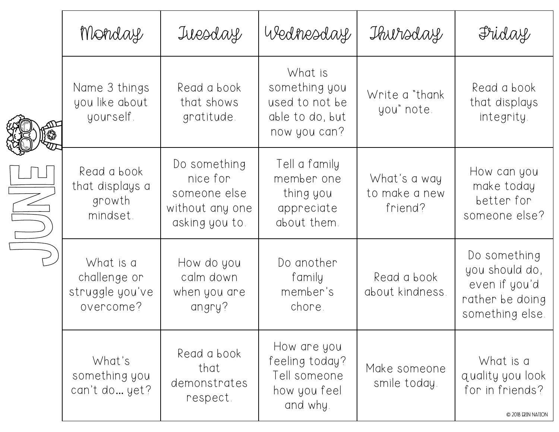|  | Monday                                                    | Tuesday                                                                       | Wednesday                                                                     | Thursday                                 | Friday                                                                                |
|--|-----------------------------------------------------------|-------------------------------------------------------------------------------|-------------------------------------------------------------------------------|------------------------------------------|---------------------------------------------------------------------------------------|
|  | Name 3 things<br>you like about<br>yourself.              | Read a book<br>that shows<br>gratitude.                                       | What is<br>something you<br>used to not be<br>able to do, but<br>now you can? | Write a "thank"<br>you" note.            | Read a book<br>that displays<br>integrity.                                            |
|  | Read a book<br>that displays a<br>growth<br>mindset.      | Do something<br>nice for<br>someone else<br>without any one<br>asking you to. | Tell a family<br>member one<br>thing you<br>appreciate<br>about them.         | What's a way<br>to make a new<br>friend? | How can you<br>make today<br>better for<br>someone else?                              |
|  | What is a<br>challenge or<br>struggle you've<br>overcome? | How do you<br>calm down<br>when you are<br>angry?                             | Do another<br>family<br>member's<br>chore.                                    | Read a book<br>about kindness.           | Do something<br>you should do,<br>even if you'd<br>rather be doing<br>something else. |
|  | What's<br>something you<br>can't do yet?                  | Read a book<br>that<br>demonstrates<br>respect.                               | How are you<br>feeling today?<br>Tell someone<br>how you feel<br>and why.     | Make someone<br>smile today.             | What is a<br>quality you look<br>for in friends?<br>© 2018 ERIN NATION                |